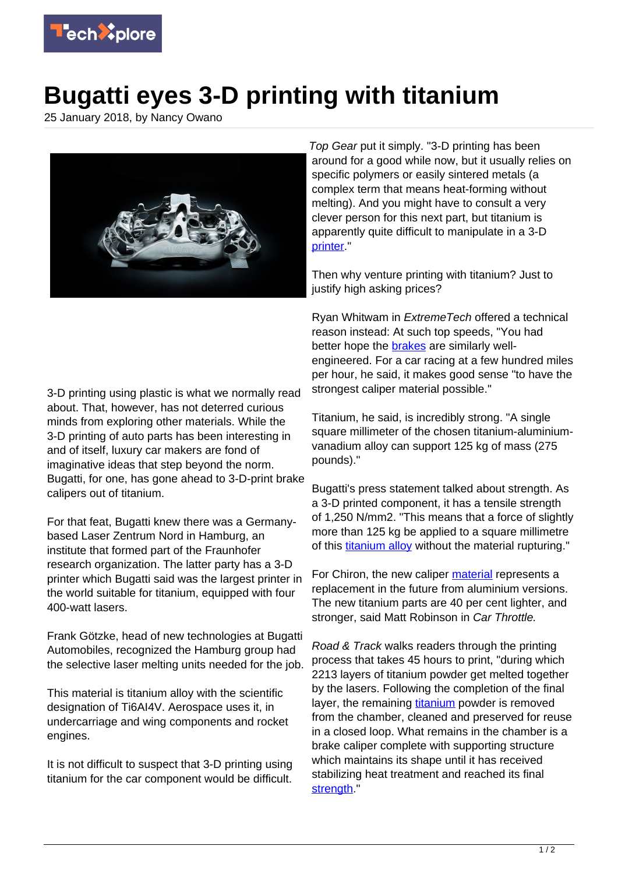

## **Bugatti eyes 3-D printing with titanium**

25 January 2018, by Nancy Owano



3-D printing using plastic is what we normally read about. That, however, has not deterred curious minds from exploring other materials. While the 3-D printing of auto parts has been interesting in and of itself, luxury car makers are fond of imaginative ideas that step beyond the norm. Bugatti, for one, has gone ahead to 3-D-print brake calipers out of titanium.

For that feat, Bugatti knew there was a Germanybased Laser Zentrum Nord in Hamburg, an institute that formed part of the Fraunhofer research organization. The latter party has a 3-D printer which Bugatti said was the largest printer in the world suitable for titanium, equipped with four 400-watt lasers.

Frank Götzke, head of new technologies at Bugatti Automobiles, recognized the Hamburg group had the selective laser melting units needed for the job.

This material is titanium alloy with the scientific designation of Ti6AI4V. Aerospace uses it, in undercarriage and wing components and rocket engines.

It is not difficult to suspect that 3-D printing using titanium for the car component would be difficult.

Top Gear put it simply. "3-D printing has been around for a good while now, but it usually relies on specific polymers or easily sintered metals (a complex term that means heat-forming without melting). And you might have to consult a very clever person for this next part, but titanium is apparently quite difficult to manipulate in a 3-D [printer.](https://www.topgear.com/car-news/supercars/bugatti-has-3d-printed-brake-caliper-titanium)

Then why venture printing with titanium? Just to justify high asking prices?

Ryan Whitwam in ExtremeTech offered a technical reason instead: At such top speeds, "You had better hope the [brakes](http://www.extremetech.com/extreme/262598-bugatti-makes-brake-calipers-chiron-supercar-3d-titanium-printing) are similarly wellengineered. For a car racing at a few hundred miles per hour, he said, it makes good sense "to have the strongest caliper material possible."

Titanium, he said, is incredibly strong. "A single square millimeter of the chosen titanium-aluminiumvanadium alloy can support 125 kg of mass (275 pounds)."

Bugatti's press statement talked about strength. As a 3-D printed component, it has a tensile strength of 1,250 N/mm2. "This means that a force of slightly more than 125 kg be applied to a square millimetre of this [titanium alloy](https://techxplore.com/tags/titanium+alloy/) without the material rupturing."

For Chiron, the new caliper [material](https://www.carthrottle.com/post/bugattis-3d-printed-titanium-brake-caliper-is-a-world-first/) represents a replacement in the future from aluminium versions. The new titanium parts are 40 per cent lighter, and stronger, said Matt Robinson in Car Throttle.

Road & Track walks readers through the printing process that takes 45 hours to print, "during which 2213 layers of titanium powder get melted together by the lasers. Following the completion of the final layer, the remaining [titanium](https://techxplore.com/tags/titanium/) powder is removed from the chamber, cleaned and preserved for reuse in a closed loop. What remains in the chamber is a brake caliper complete with supporting structure which maintains its shape until it has received stabilizing heat treatment and reached its final [strength](http://www.roadandtrack.com/new-cars/car-technology/a15840339/bugatti-can-now-3d-print-this-gorgeous-brake-caliper-from-titanium/)."